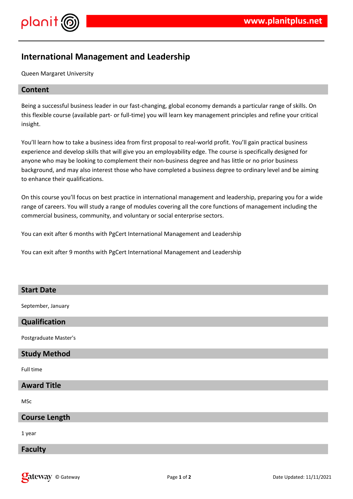

# **International Management and Leadership**

Queen Margaret University

## **Content**

Being a successful business leader in our fast-changing, global economy demands a particular range of skills. On this flexible course (available part- or full-time) you will learn key management principles and refine your critical insight.

You'll learn how to take a business idea from first proposal to real-world profit. You'll gain practical business experience and develop skills that will give you an employability edge. The course is specifically designed for anyone who may be looking to complement their non-business degree and has little or no prior business background, and may also interest those who have completed a business degree to ordinary level and be aiming to enhance their qualifications.

On this course you'll focus on best practice in international management and leadership, preparing you for a wide range of careers. You will study a range of modules covering all the core functions of management including the commercial business, community, and voluntary or social enterprise sectors.

You can exit after 6 months with PgCert International Management and Leadership

You can exit after 9 months with PgCert International Management and Leadership

## **Start Date**

September, January

#### **Qualification**

Postgraduate Master's

## **Study Method**

Full time

## **Award Title**

MSc

#### **Course Length**

1 year

#### **Faculty**